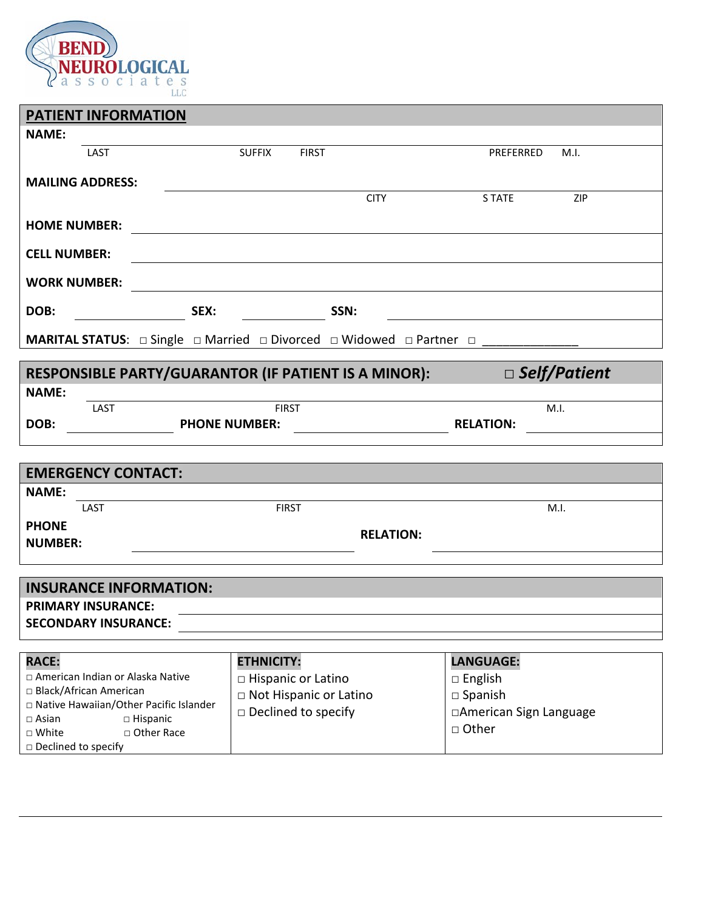

| <b>PATIENT INFORMATION</b>                                     |                                                                                                          |                                    |  |  |
|----------------------------------------------------------------|----------------------------------------------------------------------------------------------------------|------------------------------------|--|--|
| <b>NAME:</b>                                                   |                                                                                                          |                                    |  |  |
| LAST                                                           | <b>SUFFIX</b><br><b>FIRST</b>                                                                            | PREFERRED<br>M.I.                  |  |  |
| <b>MAILING ADDRESS:</b>                                        |                                                                                                          |                                    |  |  |
|                                                                | <b>CITY</b>                                                                                              | <b>STATE</b><br>ZIP                |  |  |
| <b>HOME NUMBER:</b>                                            |                                                                                                          |                                    |  |  |
|                                                                |                                                                                                          |                                    |  |  |
| <b>CELL NUMBER:</b>                                            |                                                                                                          |                                    |  |  |
| <b>WORK NUMBER:</b>                                            |                                                                                                          |                                    |  |  |
| SEX:<br>DOB:                                                   | <b>Example 25 SSN:</b>                                                                                   |                                    |  |  |
|                                                                | <b>MARITAL STATUS:</b> $\Box$ Single $\Box$ Married $\Box$ Divorced $\Box$ Widowed $\Box$ Partner $\Box$ |                                    |  |  |
|                                                                |                                                                                                          |                                    |  |  |
|                                                                | RESPONSIBLE PARTY/GUARANTOR (IF PATIENT IS A MINOR):                                                     | $\square$ Self/Patient             |  |  |
| <b>NAME:</b>                                                   |                                                                                                          |                                    |  |  |
| LAST<br>DOB:<br><b>PHONE NUMBER:</b>                           | <b>FIRST</b>                                                                                             | M.I.<br><b>RELATION:</b>           |  |  |
|                                                                |                                                                                                          |                                    |  |  |
|                                                                |                                                                                                          |                                    |  |  |
| <b>EMERGENCY CONTACT:</b>                                      |                                                                                                          |                                    |  |  |
| <b>NAME:</b><br>LAST                                           | <b>FIRST</b>                                                                                             | M.I.                               |  |  |
| <b>PHONE</b>                                                   |                                                                                                          |                                    |  |  |
| <b>NUMBER:</b>                                                 | <b>RELATION:</b>                                                                                         |                                    |  |  |
|                                                                |                                                                                                          |                                    |  |  |
| <b>INSURANCE INFORMATION:</b>                                  |                                                                                                          |                                    |  |  |
| <b>PRIMARY INSURANCE:</b>                                      |                                                                                                          |                                    |  |  |
| <b>SECONDARY INSURANCE:</b>                                    |                                                                                                          |                                    |  |  |
|                                                                |                                                                                                          |                                    |  |  |
| <b>RACE:</b>                                                   | <b>ETHNICITY:</b>                                                                                        | LANGUAGE:                          |  |  |
| □ American Indian or Alaska Native<br>□ Black/African American | □ Hispanic or Latino                                                                                     | $\Box$ English                     |  |  |
| □ Native Hawaiian/Other Pacific Islander                       | □ Not Hispanic or Latino                                                                                 | $\Box$ Spanish                     |  |  |
| $\Box$ Asian<br>$\Box$ Hispanic                                | $\square$ Declined to specify                                                                            | □American Sign Language<br>□ Other |  |  |
| $\square$ White<br>□ Other Race<br>□ Declined to specify       |                                                                                                          |                                    |  |  |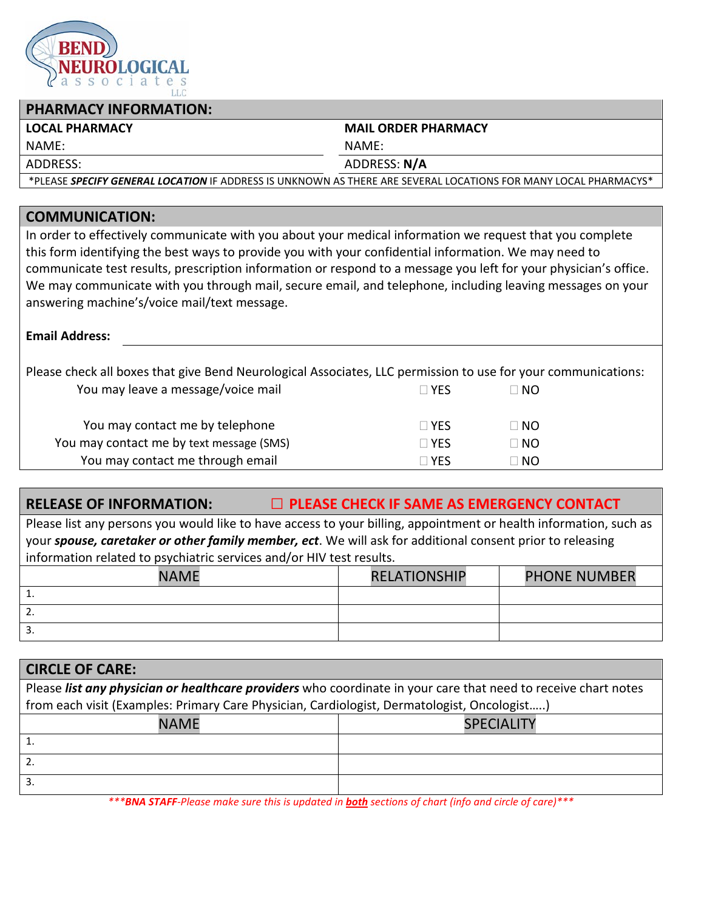

## **PHARMACY INFORMATION:**

### **LOCAL PHARMACY MAIL ORDER PHARMACY**

NAME: NAME:

ADDRESS: ADDRESS: **N/A**

\*PLEASE *SPECIFY GENERAL LOCATION* IF ADDRESS IS UNKNOWN AS THERE ARE SEVERAL LOCATIONS FOR MANY LOCAL PHARMACYS\*

## **COMMUNICATION:**

In order to effectively communicate with you about your medical information we request that you complete this form identifying the best ways to provide you with your confidential information. We may need to communicate test results, prescription information or respond to a message you left for your physician's office. We may communicate with you through mail, secure email, and telephone, including leaving messages on your answering machine's/voice mail/text message.

### **Email Address:**

Please check all boxes that give Bend Neurological Associates, LLC permission to use for your communications:

| $\sqcap$ YFS | $\sqcap$ NO |
|--------------|-------------|
| $\Box$ YFS   | $\sqcap$ NO |
| $\Box$ YFS   | $\sqcap$ No |
| $\Box$ YFS   | $\sqcap$ NO |
|              |             |

## **RELEASE OF INFORMATION:** *□* **PLEASE CHECK IF SAME AS EMERGENCY CONTACT**

Please list any persons you would like to have access to your billing, appointment or health information, such as your *spouse, caretaker or other family member, ect*. We will ask for additional consent prior to releasing information related to psychiatric services and/or HIV test results.

| <b>NAME</b> | <b>RELATIONSHIP</b> | <b>PHONE NUMBER</b> |
|-------------|---------------------|---------------------|
| . .         |                     |                     |
| <u>.</u>    |                     |                     |
| J.          |                     |                     |

| <b>CIRCLE OF CARE:</b>                                                                                         |                   |  |  |  |
|----------------------------------------------------------------------------------------------------------------|-------------------|--|--|--|
| Please list any physician or healthcare providers who coordinate in your care that need to receive chart notes |                   |  |  |  |
| from each visit (Examples: Primary Care Physician, Cardiologist, Dermatologist, Oncologist)                    |                   |  |  |  |
| <b>NAME</b>                                                                                                    | <b>SPECIALITY</b> |  |  |  |
|                                                                                                                |                   |  |  |  |
|                                                                                                                |                   |  |  |  |
|                                                                                                                |                   |  |  |  |

*\*\*\*BNA STAFF-Please make sure this is updated in both sections of chart (info and circle of care)\*\*\**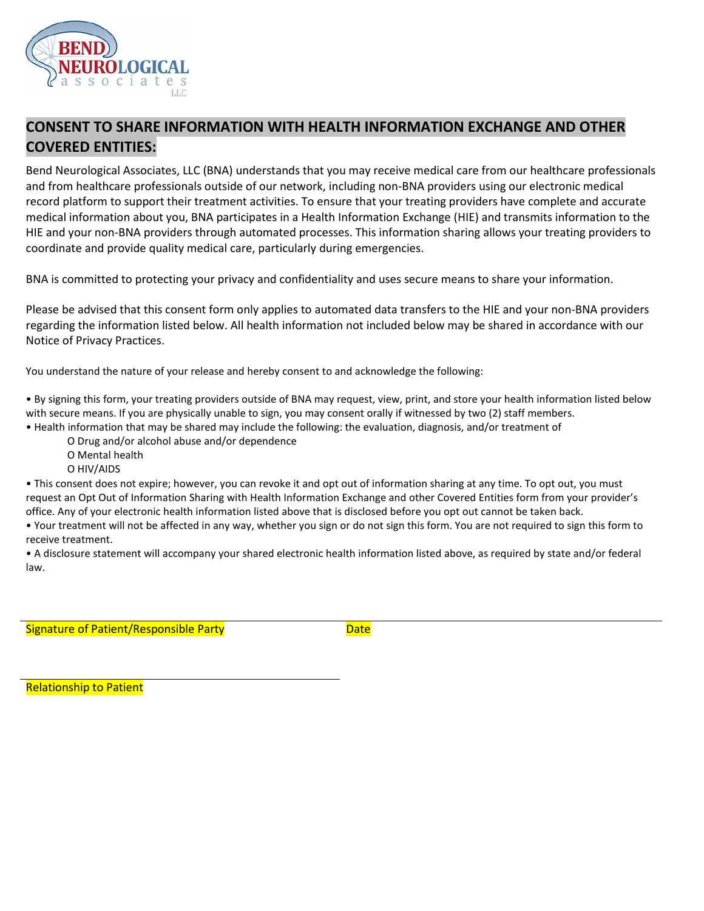

## **CONSENT TO SHARE INFORMATION WITH HEALTH INFORMATION EXCHANGE AND OTHER COVERED ENTITIES:**

Bend Neurological Associates, LLC (BNA) understands that you may receive medical care from our healthcare professionals and from healthcare professionals outside of our network, including non-BNA providers using our electronic medical record platform to support their treatment activities. To ensure that your treating providers have complete and accurate medical information about you, BNA participates in a Health Information Exchange (HIE) and transmits information to the HIE and your non-BNA providers through automated processes. This information sharing allows your treating providers to coordinate and provide quality medical care, particularly during emergencies.

BNA is committed to protecting your privacy and confidentiality and uses secure means to share your information.

Please be advised that this consent form only applies to automated data transfers to the HIE and your non-BNA providers regarding the information listed below. All health information not included below may be shared in accordance with our Notice of Privacy Practices.

You understand the nature of your release and hereby consent to and acknowledge the following:

• By signing this form, your treating providers outside of BNA may request, view, print, and store your health information listed below with secure means. If you are physically unable to sign, you may consent orally if witnessed by two (2) staff members.

• Health information that may be shared may include the following: the evaluation, diagnosis, and/or treatment of

O Drug and/or alcohol abuse and/or dependence O Mental health

O HIV/AIDS

• This consent does not expire; however, you can revoke it and opt out of information sharing at any time. To opt out, you must request an Opt Out of Information Sharing with Health Information Exchange and other Covered Entities form from your provider's office. Any of your electronic health information listed above that is disclosed before you opt out cannot be taken back.

• Your treatment will not be affected in any way, whether you sign or do not sign this form. You are not required to sign this form to receive treatment.

• A disclosure statement will accompany your shared electronic health information listed above, as required by state and/or federal law.

Signature of Patient/Responsible Party **Date** 

Relationship to Patient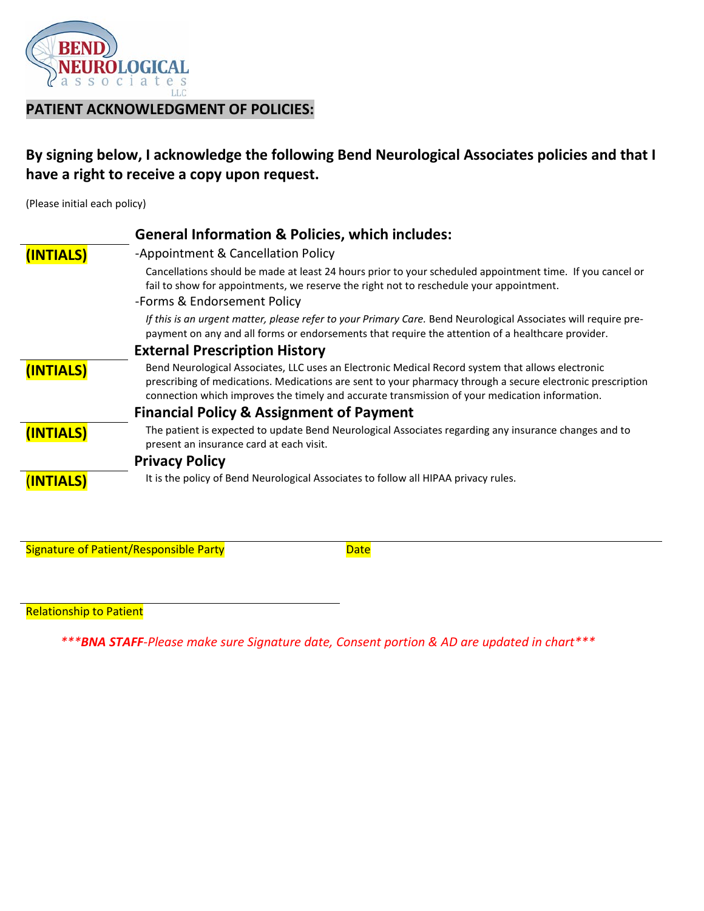

## **PATIENT ACKNOWLEDGMENT OF POLICIES:**

# **By signing below, I acknowledge the following Bend Neurological Associates policies and that I have a right to receive a copy upon request.**

(Please initial each policy)

|           | <b>General Information &amp; Policies, which includes:</b>                                                                                                                                                                                                                                                        |
|-----------|-------------------------------------------------------------------------------------------------------------------------------------------------------------------------------------------------------------------------------------------------------------------------------------------------------------------|
| (INTIALS) | -Appointment & Cancellation Policy                                                                                                                                                                                                                                                                                |
|           | Cancellations should be made at least 24 hours prior to your scheduled appointment time. If you cancel or<br>fail to show for appointments, we reserve the right not to reschedule your appointment.                                                                                                              |
|           | -Forms & Endorsement Policy                                                                                                                                                                                                                                                                                       |
|           | If this is an urgent matter, please refer to your Primary Care. Bend Neurological Associates will require pre-<br>payment on any and all forms or endorsements that require the attention of a healthcare provider.                                                                                               |
|           | <b>External Prescription History</b>                                                                                                                                                                                                                                                                              |
| (INTIALS) | Bend Neurological Associates, LLC uses an Electronic Medical Record system that allows electronic<br>prescribing of medications. Medications are sent to your pharmacy through a secure electronic prescription<br>connection which improves the timely and accurate transmission of your medication information. |
|           | <b>Financial Policy &amp; Assignment of Payment</b>                                                                                                                                                                                                                                                               |
| (INTIALS) | The patient is expected to update Bend Neurological Associates regarding any insurance changes and to<br>present an insurance card at each visit.                                                                                                                                                                 |
|           | <b>Privacy Policy</b>                                                                                                                                                                                                                                                                                             |
| (INTIALS) | It is the policy of Bend Neurological Associates to follow all HIPAA privacy rules.                                                                                                                                                                                                                               |

Signature of Patient/Responsible Party **Date** 

Relationship to Patient

 *\*\*\*BNA STAFF-Please make sure Signature date, Consent portion & AD are updated in chart\*\*\**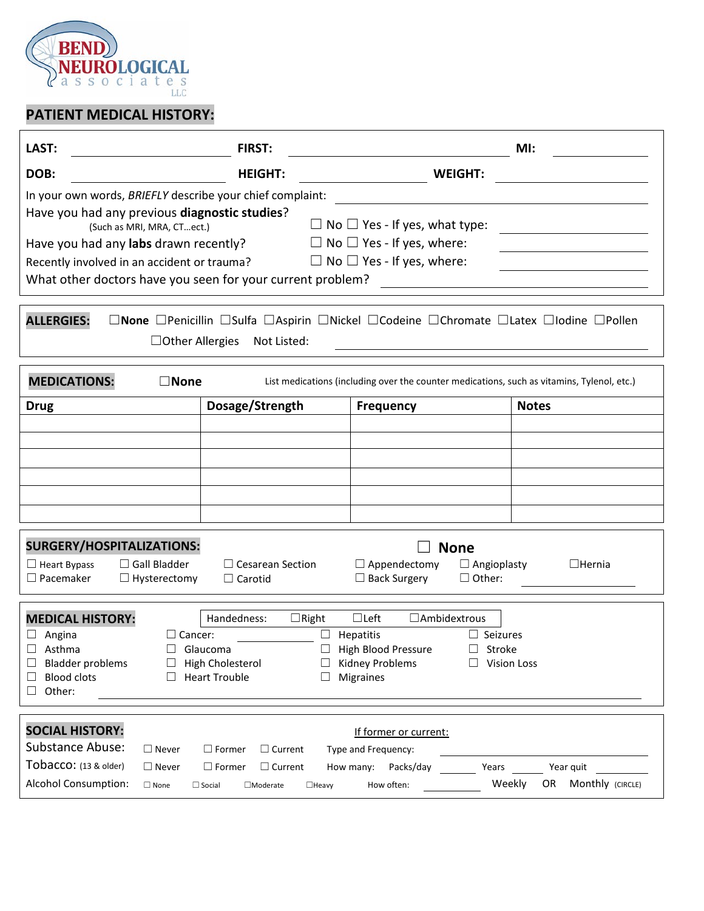

# **PATIENT MEDICAL HISTORY:**

| LAST:                                                                   | <b>FIRST:</b>               |                                                                                            | MI:           |  |  |  |
|-------------------------------------------------------------------------|-----------------------------|--------------------------------------------------------------------------------------------|---------------|--|--|--|
| DOB:                                                                    | <b>HEIGHT:</b>              | <b>WEIGHT:</b>                                                                             |               |  |  |  |
| In your own words, BRIEFLY describe your chief complaint:               |                             |                                                                                            |               |  |  |  |
| Have you had any previous diagnostic studies?                           |                             |                                                                                            |               |  |  |  |
| $\Box$ No $\Box$ Yes - If yes, what type:<br>(Such as MRI, MRA, CTect.) |                             |                                                                                            |               |  |  |  |
| Have you had any labs drawn recently?                                   |                             | $\Box$ No $\Box$ Yes - If yes, where:                                                      |               |  |  |  |
| Recently involved in an accident or trauma?                             |                             | $\Box$ No $\Box$ Yes - If yes, where:                                                      |               |  |  |  |
| What other doctors have you seen for your current problem?              |                             |                                                                                            |               |  |  |  |
|                                                                         |                             |                                                                                            |               |  |  |  |
| <b>ALLERGIES:</b>                                                       |                             | □None □Penicillin □Sulfa □Aspirin □Nickel □Codeine □Chromate □Latex □Iodine □Pollen        |               |  |  |  |
| $\Box$ Other Allergies                                                  | Not Listed:                 |                                                                                            |               |  |  |  |
|                                                                         |                             |                                                                                            |               |  |  |  |
| <b>MEDICATIONS:</b><br>$\square$ None                                   |                             | List medications (including over the counter medications, such as vitamins, Tylenol, etc.) |               |  |  |  |
| <b>Drug</b>                                                             | Dosage/Strength             | <b>Frequency</b>                                                                           | <b>Notes</b>  |  |  |  |
|                                                                         |                             |                                                                                            |               |  |  |  |
|                                                                         |                             |                                                                                            |               |  |  |  |
|                                                                         |                             |                                                                                            |               |  |  |  |
|                                                                         |                             |                                                                                            |               |  |  |  |
|                                                                         |                             |                                                                                            |               |  |  |  |
|                                                                         |                             |                                                                                            |               |  |  |  |
| <b>SURGERY/HOSPITALIZATIONS:</b>                                        |                             | <b>None</b>                                                                                |               |  |  |  |
| $\Box$ Gall Bladder<br>$\Box$ Heart Bypass                              | $\Box$ Cesarean Section     | $\Box$ Appendectomy<br>$\Box$ Angioplasty                                                  | $\Box$ Hernia |  |  |  |
| $\Box$ Pacemaker<br>$\Box$ Hysterectomy                                 | $\Box$ Carotid              | $\Box$ Back Surgery<br>$\Box$ Other:                                                       |               |  |  |  |
|                                                                         |                             |                                                                                            |               |  |  |  |
| <b>MEDICAL HISTORY:</b>                                                 | Handedness:<br>$\Box$ Right | $\Box$ Left<br>□Ambidextrous                                                               |               |  |  |  |
| Angina<br>$\Box$ Cancer:<br>⊔                                           | $\Box$                      | Hepatitis<br>$\Box$ Seizures                                                               |               |  |  |  |
| Asthma                                                                  | Glaucoma                    | High Blood Pressure<br>Stroke<br>$\Box$                                                    |               |  |  |  |
| <b>Bladder problems</b><br>⊔<br>⊔                                       | High Cholesterol<br>$\Box$  | <b>Kidney Problems</b><br>$\Box$ Vision Loss                                               |               |  |  |  |
| <b>Blood clots</b><br>П                                                 | <b>Heart Trouble</b>        | <b>Migraines</b>                                                                           |               |  |  |  |
| Other:<br>П                                                             |                             |                                                                                            |               |  |  |  |
|                                                                         |                             |                                                                                            |               |  |  |  |

| <b>SOCIAL HISTORY:</b> |             |               |                       |                     | If former or current: |        |                        |
|------------------------|-------------|---------------|-----------------------|---------------------|-----------------------|--------|------------------------|
| Substance Abuse:       | Never       | l Former      | $\sqsupset$ Current . | Type and Frequency: |                       |        |                        |
| Tobacco: (13 & older)  | Never       | l Former      | $\Box$ Current        | How many:           | Packs/dav             | Years  | Year guit              |
| Alcohol Consumption:   | $\Box$ None | $\Box$ Social | $\Box$ Moderate       | $\Box$ Heavv        | How often:            | Weekly | Monthly (CIRCLE)<br>0R |